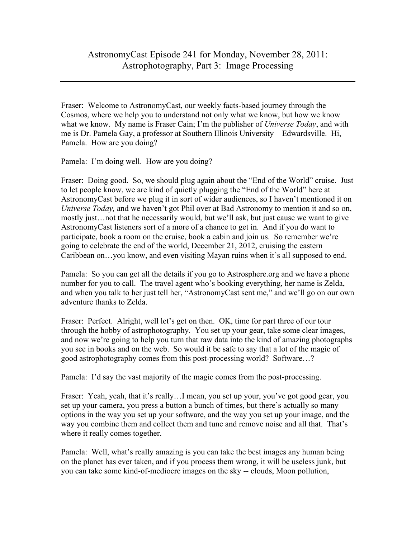Fraser: Welcome to AstronomyCast, our weekly facts-based journey through the Cosmos, where we help you to understand not only what we know, but how we know what we know. My name is Fraser Cain; I'm the publisher of *Universe Today*, and with me is Dr. Pamela Gay, a professor at Southern Illinois University – Edwardsville. Hi, Pamela. How are you doing?

Pamela: I'm doing well. How are you doing?

Fraser: Doing good. So, we should plug again about the "End of the World" cruise. Just to let people know, we are kind of quietly plugging the "End of the World" here at AstronomyCast before we plug it in sort of wider audiences, so I haven't mentioned it on *Universe Today,* and we haven't got Phil over at Bad Astronomy to mention it and so on, mostly just…not that he necessarily would, but we'll ask, but just cause we want to give AstronomyCast listeners sort of a more of a chance to get in. And if you do want to participate, book a room on the cruise, book a cabin and join us. So remember we're going to celebrate the end of the world, December 21, 2012, cruising the eastern Caribbean on…you know, and even visiting Mayan ruins when it's all supposed to end.

Pamela: So you can get all the details if you go to Astrosphere.org and we have a phone number for you to call. The travel agent who's booking everything, her name is Zelda, and when you talk to her just tell her, "AstronomyCast sent me," and we'll go on our own adventure thanks to Zelda.

Fraser: Perfect. Alright, well let's get on then. OK, time for part three of our tour through the hobby of astrophotography. You set up your gear, take some clear images, and now we're going to help you turn that raw data into the kind of amazing photographs you see in books and on the web. So would it be safe to say that a lot of the magic of good astrophotography comes from this post-processing world? Software…?

Pamela: I'd say the vast majority of the magic comes from the post-processing.

Fraser: Yeah, yeah, that it's really...I mean, you set up your, you've got good gear, you set up your camera, you press a button a bunch of times, but there's actually so many options in the way you set up your software, and the way you set up your image, and the way you combine them and collect them and tune and remove noise and all that. That's where it really comes together.

Pamela: Well, what's really amazing is you can take the best images any human being on the planet has ever taken, and if you process them wrong, it will be useless junk, but you can take some kind-of-mediocre images on the sky -- clouds, Moon pollution,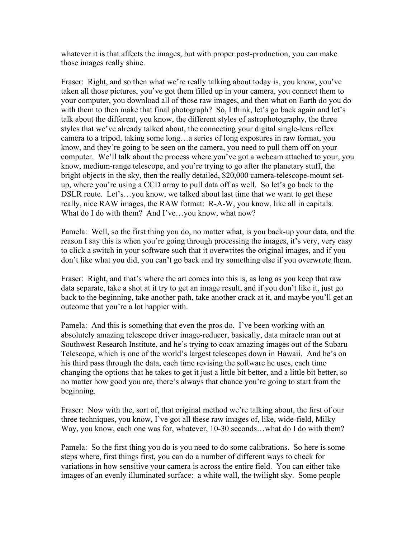whatever it is that affects the images, but with proper post-production, you can make those images really shine.

Fraser: Right, and so then what we're really talking about today is, you know, you've taken all those pictures, you've got them filled up in your camera, you connect them to your computer, you download all of those raw images, and then what on Earth do you do with them to then make that final photograph? So, I think, let's go back again and let's talk about the different, you know, the different styles of astrophotography, the three styles that we've already talked about, the connecting your digital single-lens reflex camera to a tripod, taking some long…a series of long exposures in raw format, you know, and they're going to be seen on the camera, you need to pull them off on your computer. We'll talk about the process where you've got a webcam attached to your, you know, medium-range telescope, and you're trying to go after the planetary stuff, the bright objects in the sky, then the really detailed, \$20,000 camera-telescope-mount setup, where you're using a CCD array to pull data off as well. So let's go back to the DSLR route. Let's…you know, we talked about last time that we want to get these really, nice RAW images, the RAW format: R-A-W, you know, like all in capitals. What do I do with them? And I've...you know, what now?

Pamela: Well, so the first thing you do, no matter what, is you back-up your data, and the reason I say this is when you're going through processing the images, it's very, very easy to click a switch in your software such that it overwrites the original images, and if you don't like what you did, you can't go back and try something else if you overwrote them.

Fraser: Right, and that's where the art comes into this is, as long as you keep that raw data separate, take a shot at it try to get an image result, and if you don't like it, just go back to the beginning, take another path, take another crack at it, and maybe you'll get an outcome that you're a lot happier with.

Pamela: And this is something that even the pros do. I've been working with an absolutely amazing telescope driver image-reducer, basically, data miracle man out at Southwest Research Institute, and he's trying to coax amazing images out of the Subaru Telescope, which is one of the world's largest telescopes down in Hawaii. And he's on his third pass through the data, each time revising the software he uses, each time changing the options that he takes to get it just a little bit better, and a little bit better, so no matter how good you are, there's always that chance you're going to start from the beginning.

Fraser: Now with the, sort of, that original method we're talking about, the first of our three techniques, you know, I've got all these raw images of, like, wide-field, Milky Way, you know, each one was for, whatever, 10-30 seconds…what do I do with them?

Pamela: So the first thing you do is you need to do some calibrations. So here is some steps where, first things first, you can do a number of different ways to check for variations in how sensitive your camera is across the entire field. You can either take images of an evenly illuminated surface: a white wall, the twilight sky. Some people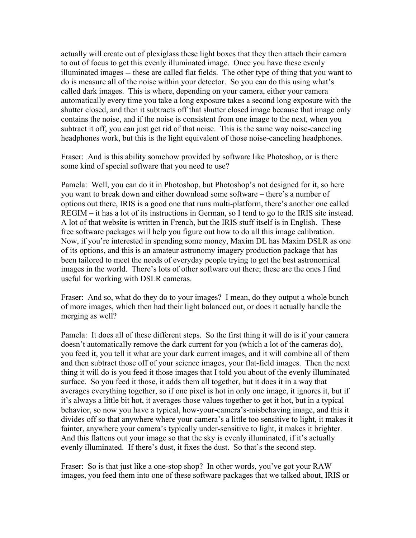actually will create out of plexiglass these light boxes that they then attach their camera to out of focus to get this evenly illuminated image. Once you have these evenly illuminated images -- these are called flat fields. The other type of thing that you want to do is measure all of the noise within your detector. So you can do this using what's called dark images. This is where, depending on your camera, either your camera automatically every time you take a long exposure takes a second long exposure with the shutter closed, and then it subtracts off that shutter closed image because that image only contains the noise, and if the noise is consistent from one image to the next, when you subtract it off, you can just get rid of that noise. This is the same way noise-canceling headphones work, but this is the light equivalent of those noise-canceling headphones.

Fraser: And is this ability somehow provided by software like Photoshop, or is there some kind of special software that you need to use?

Pamela: Well, you can do it in Photoshop, but Photoshop's not designed for it, so here you want to break down and either download some software – there's a number of options out there, IRIS is a good one that runs multi-platform, there's another one called REGIM – it has a lot of its instructions in German, so I tend to go to the IRIS site instead. A lot of that website is written in French, but the IRIS stuff itself is in English. These free software packages will help you figure out how to do all this image calibration. Now, if you're interested in spending some money, Maxim DL has Maxim DSLR as one of its options, and this is an amateur astronomy imagery production package that has been tailored to meet the needs of everyday people trying to get the best astronomical images in the world. There's lots of other software out there; these are the ones I find useful for working with DSLR cameras.

Fraser: And so, what do they do to your images? I mean, do they output a whole bunch of more images, which then had their light balanced out, or does it actually handle the merging as well?

Pamela: It does all of these different steps. So the first thing it will do is if your camera doesn't automatically remove the dark current for you (which a lot of the cameras do), you feed it, you tell it what are your dark current images, and it will combine all of them and then subtract those off of your science images, your flat-field images. Then the next thing it will do is you feed it those images that I told you about of the evenly illuminated surface. So you feed it those, it adds them all together, but it does it in a way that averages everything together, so if one pixel is hot in only one image, it ignores it, but if it's always a little bit hot, it averages those values together to get it hot, but in a typical behavior, so now you have a typical, how-your-camera's-misbehaving image, and this it divides off so that anywhere where your camera's a little too sensitive to light, it makes it fainter, anywhere your camera's typically under-sensitive to light, it makes it brighter. And this flattens out your image so that the sky is evenly illuminated, if it's actually evenly illuminated. If there's dust, it fixes the dust. So that's the second step.

Fraser: So is that just like a one-stop shop? In other words, you've got your RAW images, you feed them into one of these software packages that we talked about, IRIS or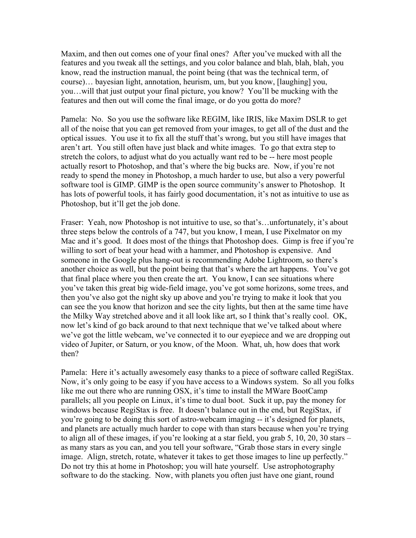Maxim, and then out comes one of your final ones? After you've mucked with all the features and you tweak all the settings, and you color balance and blah, blah, blah, you know, read the instruction manual, the point being (that was the technical term, of course)… bayesian light, annotation, heurism, um, but you know, [laughing] you, you…will that just output your final picture, you know? You'll be mucking with the features and then out will come the final image, or do you gotta do more?

Pamela: No. So you use the software like REGIM, like IRIS, like Maxim DSLR to get all of the noise that you can get removed from your images, to get all of the dust and the optical issues. You use it to fix all the stuff that's wrong, but you still have images that aren't art. You still often have just black and white images. To go that extra step to stretch the colors, to adjust what do you actually want red to be -- here most people actually resort to Photoshop, and that's where the big bucks are. Now, if you're not ready to spend the money in Photoshop, a much harder to use, but also a very powerful software tool is GIMP. GIMP is the open source community's answer to Photoshop. It has lots of powerful tools, it has fairly good documentation, it's not as intuitive to use as Photoshop, but it'll get the job done.

Fraser: Yeah, now Photoshop is not intuitive to use, so that's…unfortunately, it's about three steps below the controls of a 747, but you know, I mean, I use Pixelmator on my Mac and it's good. It does most of the things that Photoshop does. Gimp is free if you're willing to sort of beat your head with a hammer, and Photoshop is expensive. And someone in the Google plus hang-out is recommending Adobe Lightroom, so there's another choice as well, but the point being that that's where the art happens. You've got that final place where you then create the art. You know, I can see situations where you've taken this great big wide-field image, you've got some horizons, some trees, and then you've also got the night sky up above and you're trying to make it look that you can see the you know that horizon and see the city lights, but then at the same time have the Milky Way stretched above and it all look like art, so I think that's really cool. OK, now let's kind of go back around to that next technique that we've talked about where we've got the little webcam, we've connected it to our eyepiece and we are dropping out video of Jupiter, or Saturn, or you know, of the Moon. What, uh, how does that work then?

Pamela: Here it's actually awesomely easy thanks to a piece of software called RegiStax. Now, it's only going to be easy if you have access to a Windows system. So all you folks like me out there who are running OSX, it's time to install the MWare BootCamp parallels; all you people on Linux, it's time to dual boot. Suck it up, pay the money for windows because RegiStax is free. It doesn't balance out in the end, but RegiStax, if you're going to be doing this sort of astro-webcam imaging -- it's designed for planets, and planets are actually much harder to cope with than stars because when you're trying to align all of these images, if you're looking at a star field, you grab 5, 10, 20, 30 stars – as many stars as you can, and you tell your software, "Grab those stars in every single image. Align, stretch, rotate, whatever it takes to get those images to line up perfectly." Do not try this at home in Photoshop; you will hate yourself. Use astrophotography software to do the stacking. Now, with planets you often just have one giant, round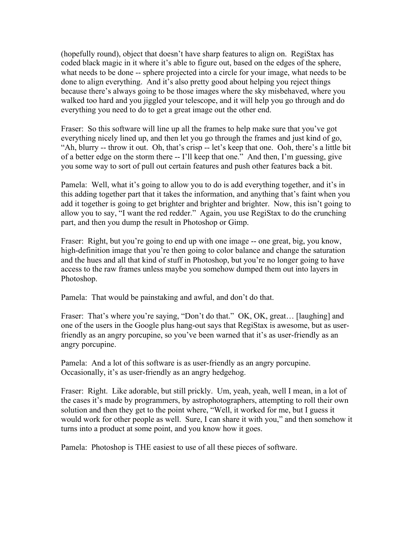(hopefully round), object that doesn't have sharp features to align on. RegiStax has coded black magic in it where it's able to figure out, based on the edges of the sphere, what needs to be done -- sphere projected into a circle for your image, what needs to be done to align everything. And it's also pretty good about helping you reject things because there's always going to be those images where the sky misbehaved, where you walked too hard and you jiggled your telescope, and it will help you go through and do everything you need to do to get a great image out the other end.

Fraser: So this software will line up all the frames to help make sure that you've got everything nicely lined up, and then let you go through the frames and just kind of go, "Ah, blurry -- throw it out. Oh, that's crisp -- let's keep that one. Ooh, there's a little bit of a better edge on the storm there -- I'll keep that one." And then, I'm guessing, give you some way to sort of pull out certain features and push other features back a bit.

Pamela: Well, what it's going to allow you to do is add everything together, and it's in this adding together part that it takes the information, and anything that's faint when you add it together is going to get brighter and brighter and brighter. Now, this isn't going to allow you to say, "I want the red redder." Again, you use RegiStax to do the crunching part, and then you dump the result in Photoshop or Gimp.

Fraser: Right, but you're going to end up with one image -- one great, big, you know, high-definition image that you're then going to color balance and change the saturation and the hues and all that kind of stuff in Photoshop, but you're no longer going to have access to the raw frames unless maybe you somehow dumped them out into layers in Photoshop.

Pamela: That would be painstaking and awful, and don't do that.

Fraser: That's where you're saying, "Don't do that." OK, OK, great... [laughing] and one of the users in the Google plus hang-out says that RegiStax is awesome, but as userfriendly as an angry porcupine, so you've been warned that it's as user-friendly as an angry porcupine.

Pamela: And a lot of this software is as user-friendly as an angry porcupine. Occasionally, it's as user-friendly as an angry hedgehog.

Fraser: Right. Like adorable, but still prickly. Um, yeah, yeah, well I mean, in a lot of the cases it's made by programmers, by astrophotographers, attempting to roll their own solution and then they get to the point where, "Well, it worked for me, but I guess it would work for other people as well. Sure, I can share it with you," and then somehow it turns into a product at some point, and you know how it goes.

Pamela: Photoshop is THE easiest to use of all these pieces of software.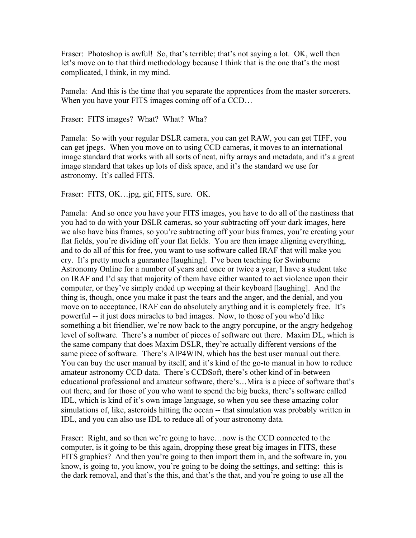Fraser: Photoshop is awful! So, that's terrible; that's not saying a lot. OK, well then let's move on to that third methodology because I think that is the one that's the most complicated, I think, in my mind.

Pamela: And this is the time that you separate the apprentices from the master sorcerers. When you have your FITS images coming off of a CCD...

Fraser: FITS images? What? What? Wha?

Pamela: So with your regular DSLR camera, you can get RAW, you can get TIFF, you can get jpegs. When you move on to using CCD cameras, it moves to an international image standard that works with all sorts of neat, nifty arrays and metadata, and it's a great image standard that takes up lots of disk space, and it's the standard we use for astronomy. It's called FITS.

Fraser: FITS, OK…jpg, gif, FITS, sure. OK.

Pamela: And so once you have your FITS images, you have to do all of the nastiness that you had to do with your DSLR cameras, so your subtracting off your dark images, here we also have bias frames, so you're subtracting off your bias frames, you're creating your flat fields, you're dividing off your flat fields. You are then image aligning everything, and to do all of this for free, you want to use software called IRAF that will make you cry. It's pretty much a guarantee [laughing]. I've been teaching for Swinburne Astronomy Online for a number of years and once or twice a year, I have a student take on IRAF and I'd say that majority of them have either wanted to act violence upon their computer, or they've simply ended up weeping at their keyboard [laughing]. And the thing is, though, once you make it past the tears and the anger, and the denial, and you move on to acceptance, IRAF can do absolutely anything and it is completely free. It's powerful -- it just does miracles to bad images. Now, to those of you who'd like something a bit friendlier, we're now back to the angry porcupine, or the angry hedgehog level of software. There's a number of pieces of software out there. Maxim DL, which is the same company that does Maxim DSLR, they're actually different versions of the same piece of software. There's AIP4WIN, which has the best user manual out there. You can buy the user manual by itself, and it's kind of the go-to manual in how to reduce amateur astronomy CCD data. There's CCDSoft, there's other kind of in-between educational professional and amateur software, there's…Mira is a piece of software that's out there, and for those of you who want to spend the big bucks, there's software called IDL, which is kind of it's own image language, so when you see these amazing color simulations of, like, asteroids hitting the ocean -- that simulation was probably written in IDL, and you can also use IDL to reduce all of your astronomy data.

Fraser: Right, and so then we're going to have…now is the CCD connected to the computer, is it going to be this again, dropping these great big images in FITS, these FITS graphics? And then you're going to then import them in, and the software in, you know, is going to, you know, you're going to be doing the settings, and setting: this is the dark removal, and that's the this, and that's the that, and you're going to use all the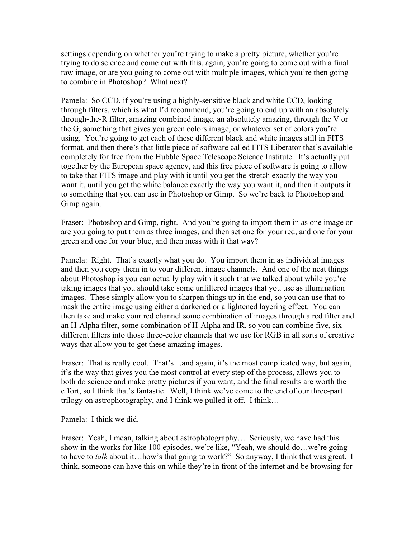settings depending on whether you're trying to make a pretty picture, whether you're trying to do science and come out with this, again, you're going to come out with a final raw image, or are you going to come out with multiple images, which you're then going to combine in Photoshop? What next?

Pamela: So CCD, if you're using a highly-sensitive black and white CCD, looking through filters, which is what I'd recommend, you're going to end up with an absolutely through-the-R filter, amazing combined image, an absolutely amazing, through the V or the G, something that gives you green colors image, or whatever set of colors you're using. You're going to get each of these different black and white images still in FITS format, and then there's that little piece of software called FITS Liberator that's available completely for free from the Hubble Space Telescope Science Institute. It's actually put together by the European space agency, and this free piece of software is going to allow to take that FITS image and play with it until you get the stretch exactly the way you want it, until you get the white balance exactly the way you want it, and then it outputs it to something that you can use in Photoshop or Gimp. So we're back to Photoshop and Gimp again.

Fraser: Photoshop and Gimp, right. And you're going to import them in as one image or are you going to put them as three images, and then set one for your red, and one for your green and one for your blue, and then mess with it that way?

Pamela: Right. That's exactly what you do. You import them in as individual images and then you copy them in to your different image channels. And one of the neat things about Photoshop is you can actually play with it such that we talked about while you're taking images that you should take some unfiltered images that you use as illumination images. These simply allow you to sharpen things up in the end, so you can use that to mask the entire image using either a darkened or a lightened layering effect. You can then take and make your red channel some combination of images through a red filter and an H-Alpha filter, some combination of H-Alpha and IR, so you can combine five, six different filters into those three-color channels that we use for RGB in all sorts of creative ways that allow you to get these amazing images.

Fraser: That is really cool. That's...and again, it's the most complicated way, but again, it's the way that gives you the most control at every step of the process, allows you to both do science and make pretty pictures if you want, and the final results are worth the effort, so I think that's fantastic. Well, I think we've come to the end of our three-part trilogy on astrophotography, and I think we pulled it off. I think…

Pamela: I think we did.

Fraser: Yeah, I mean, talking about astrophotography... Seriously, we have had this show in the works for like 100 episodes, we're like, "Yeah, we should do…we're going to have to *talk* about it…how's that going to work?" So anyway, I think that was great. I think, someone can have this on while they're in front of the internet and be browsing for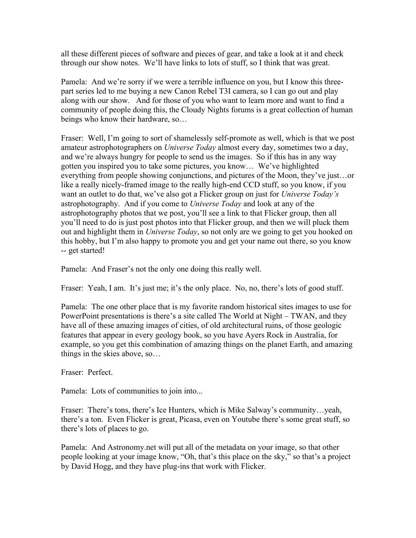all these different pieces of software and pieces of gear, and take a look at it and check through our show notes. We'll have links to lots of stuff, so I think that was great.

Pamela: And we're sorry if we were a terrible influence on you, but I know this threepart series led to me buying a new Canon Rebel T3I camera, so I can go out and play along with our show. And for those of you who want to learn more and want to find a community of people doing this, the Cloudy Nights forums is a great collection of human beings who know their hardware, so…

Fraser: Well, I'm going to sort of shamelessly self-promote as well, which is that we post amateur astrophotographers on *Universe Today* almost every day, sometimes two a day, and we're always hungry for people to send us the images. So if this has in any way gotten you inspired you to take some pictures, you know… We've highlighted everything from people showing conjunctions, and pictures of the Moon, they've just…or like a really nicely-framed image to the really high-end CCD stuff, so you know, if you want an outlet to do that, we've also got a Flicker group on just for *Universe Today's* astrophotography. And if you come to *Universe Today* and look at any of the astrophotography photos that we post, you'll see a link to that Flicker group, then all you'll need to do is just post photos into that Flicker group, and then we will pluck them out and highlight them in *Universe Today*, so not only are we going to get you hooked on this hobby, but I'm also happy to promote you and get your name out there, so you know -- get started!

Pamela: And Fraser's not the only one doing this really well.

Fraser: Yeah, I am. It's just me; it's the only place. No, no, there's lots of good stuff.

Pamela: The one other place that is my favorite random historical sites images to use for PowerPoint presentations is there's a site called The World at Night – TWAN, and they have all of these amazing images of cities, of old architectural ruins, of those geologic features that appear in every geology book, so you have Ayers Rock in Australia, for example, so you get this combination of amazing things on the planet Earth, and amazing things in the skies above, so…

Fraser: Perfect.

Pamela: Lots of communities to join into...

Fraser: There's tons, there's Ice Hunters, which is Mike Salway's community…yeah, there's a ton. Even Flicker is great, Picasa, even on Youtube there's some great stuff, so there's lots of places to go.

Pamela: And Astronomy.net will put all of the metadata on your image, so that other people looking at your image know, "Oh, that's this place on the sky," so that's a project by David Hogg, and they have plug-ins that work with Flicker.